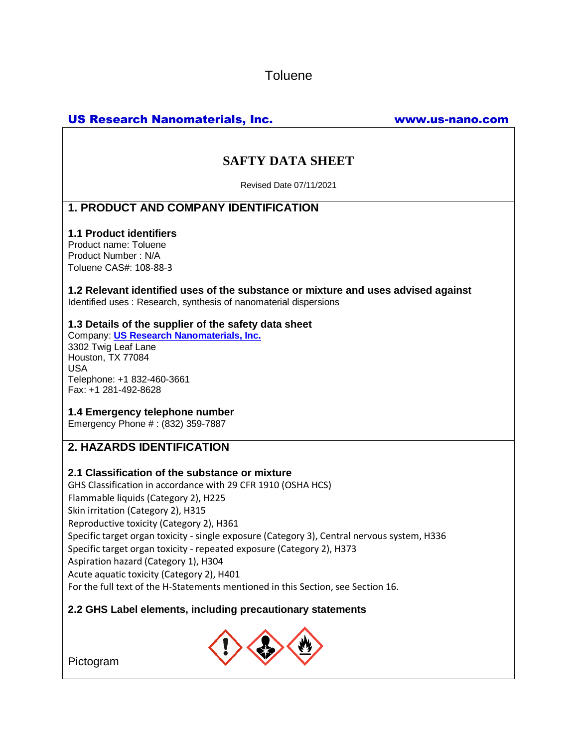**Toluene** 

# US Research Nanomaterials, Inc. www.us-nano.com

# **SAFTY DATA SHEET**

Revised Date 07/11/2021

# **1. PRODUCT AND COMPANY IDENTIFICATION**

### **1.1 Product identifiers**

Product name: Toluene Product Number : N/A Toluene CAS#: 108-88-3

**1.2 Relevant identified uses of the substance or mixture and uses advised against** Identified uses : Research, synthesis of nanomaterial dispersions

## **1.3 Details of the supplier of the safety data sheet**

Company: **[US Research Nanomaterials, Inc.](http://www.us-nano.com/)** 3302 Twig Leaf Lane Houston, TX 77084 USA Telephone: +1 832-460-3661 Fax: +1 281-492-8628

## **1.4 Emergency telephone number**

Emergency Phone # : (832) 359-7887

## **2. HAZARDS IDENTIFICATION**

## **2.1 Classification of the substance or mixture**

GHS Classification in accordance with 29 CFR 1910 (OSHA HCS) Flammable liquids (Category 2), H225 Skin irritation (Category 2), H315 Reproductive toxicity (Category 2), H361 Specific target organ toxicity - single exposure (Category 3), Central nervous system, H336 Specific target organ toxicity - repeated exposure (Category 2), H373 Aspiration hazard (Category 1), H304 Acute aquatic toxicity (Category 2), H401 For the full text of the H-Statements mentioned in this Section, see Section 16.

## **2.2 GHS Label elements, including precautionary statements**



Pictogram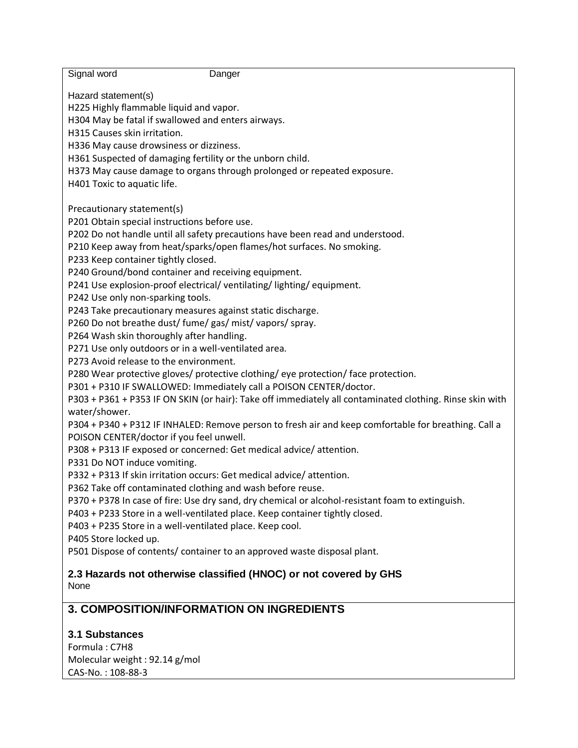| Signal word<br>Danger                                                                                                     |
|---------------------------------------------------------------------------------------------------------------------------|
|                                                                                                                           |
| Hazard statement(s)                                                                                                       |
| H225 Highly flammable liquid and vapor.                                                                                   |
| H304 May be fatal if swallowed and enters airways.<br>H315 Causes skin irritation.                                        |
| H336 May cause drowsiness or dizziness.                                                                                   |
| H361 Suspected of damaging fertility or the unborn child.                                                                 |
| H373 May cause damage to organs through prolonged or repeated exposure.                                                   |
| H401 Toxic to aquatic life.                                                                                               |
|                                                                                                                           |
| Precautionary statement(s)                                                                                                |
| P201 Obtain special instructions before use.                                                                              |
| P202 Do not handle until all safety precautions have been read and understood.                                            |
| P210 Keep away from heat/sparks/open flames/hot surfaces. No smoking.                                                     |
| P233 Keep container tightly closed.                                                                                       |
| P240 Ground/bond container and receiving equipment.                                                                       |
| P241 Use explosion-proof electrical/ventilating/lighting/equipment.                                                       |
| P242 Use only non-sparking tools.                                                                                         |
| P243 Take precautionary measures against static discharge.                                                                |
| P260 Do not breathe dust/ fume/ gas/ mist/ vapors/ spray.                                                                 |
| P264 Wash skin thoroughly after handling.                                                                                 |
| P271 Use only outdoors or in a well-ventilated area.                                                                      |
| P273 Avoid release to the environment.                                                                                    |
| P280 Wear protective gloves/ protective clothing/ eye protection/ face protection.                                        |
| P301 + P310 IF SWALLOWED: Immediately call a POISON CENTER/doctor.                                                        |
| P303 + P361 + P353 IF ON SKIN (or hair): Take off immediately all contaminated clothing. Rinse skin with<br>water/shower. |
| P304 + P340 + P312 IF INHALED: Remove person to fresh air and keep comfortable for breathing. Call a                      |
| POISON CENTER/doctor if you feel unwell.                                                                                  |
| P308 + P313 IF exposed or concerned: Get medical advice/attention.                                                        |
| P331 Do NOT induce vomiting.                                                                                              |
| P332 + P313 If skin irritation occurs: Get medical advice/attention.                                                      |
| P362 Take off contaminated clothing and wash before reuse.                                                                |
| P370 + P378 In case of fire: Use dry sand, dry chemical or alcohol-resistant foam to extinguish.                          |
| P403 + P233 Store in a well-ventilated place. Keep container tightly closed.                                              |
| P403 + P235 Store in a well-ventilated place. Keep cool.                                                                  |
| P405 Store locked up.                                                                                                     |
| P501 Dispose of contents/ container to an approved waste disposal plant.                                                  |
| 2.3 Hazards not otherwise classified (HNOC) or not covered by GHS                                                         |
| None                                                                                                                      |
|                                                                                                                           |
| <b>3. COMPOSITION/INFORMATION ON INGREDIENTS</b>                                                                          |
|                                                                                                                           |
| <b>3.1 Substances</b>                                                                                                     |
| Formula: C7H8                                                                                                             |
| Molecular weight: 92.14 g/mol                                                                                             |

CAS-No. : 108-88-3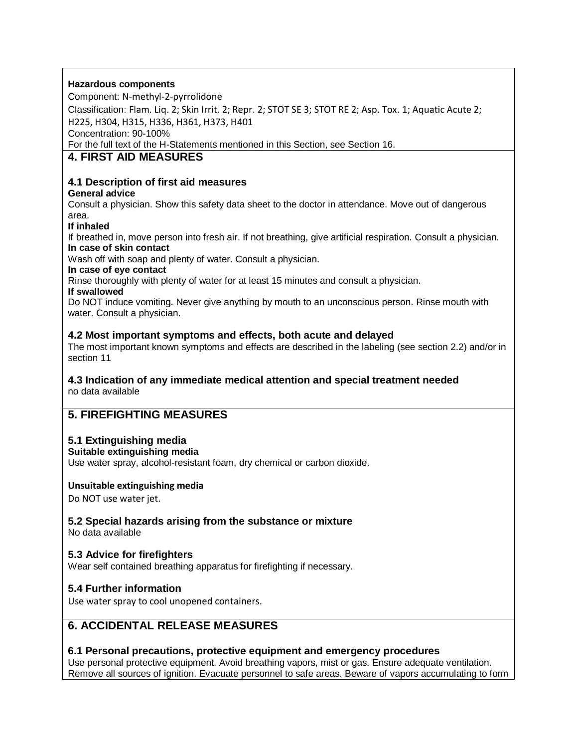### **Hazardous components**

Component: N-methyl-2-pyrrolidone

Classification: Flam. Liq. 2; Skin Irrit. 2; Repr. 2; STOT SE 3; STOT RE 2; Asp. Tox. 1; Aquatic Acute 2; H225, H304, H315, H336, H361, H373, H401

Concentration: 90-100%

For the full text of the H-Statements mentioned in this Section, see Section 16.

## **4. FIRST AID MEASURES**

## **4.1 Description of first aid measures**

## **General advice**

Consult a physician. Show this safety data sheet to the doctor in attendance. Move out of dangerous area.

### **If inhaled**

If breathed in, move person into fresh air. If not breathing, give artificial respiration. Consult a physician. **In case of skin contact**

Wash off with soap and plenty of water. Consult a physician.

### **In case of eye contact**

Rinse thoroughly with plenty of water for at least 15 minutes and consult a physician.

### **If swallowed**

Do NOT induce vomiting. Never give anything by mouth to an unconscious person. Rinse mouth with water. Consult a physician.

## **4.2 Most important symptoms and effects, both acute and delayed**

The most important known symptoms and effects are described in the labeling (see section 2.2) and/or in section 11

#### **4.3 Indication of any immediate medical attention and special treatment needed** no data available

# **5. FIREFIGHTING MEASURES**

## **5.1 Extinguishing media**

**Suitable extinguishing media**

Use water spray, alcohol-resistant foam, dry chemical or carbon dioxide.

## **Unsuitable extinguishing media**

Do NOT use water jet.

## **5.2 Special hazards arising from the substance or mixture**

No data available

## **5.3 Advice for firefighters**

Wear self contained breathing apparatus for firefighting if necessary.

## **5.4 Further information**

Use water spray to cool unopened containers.

# **6. ACCIDENTAL RELEASE MEASURES**

## **6.1 Personal precautions, protective equipment and emergency procedures**

Use personal protective equipment. Avoid breathing vapors, mist or gas. Ensure adequate ventilation. Remove all sources of ignition. Evacuate personnel to safe areas. Beware of vapors accumulating to form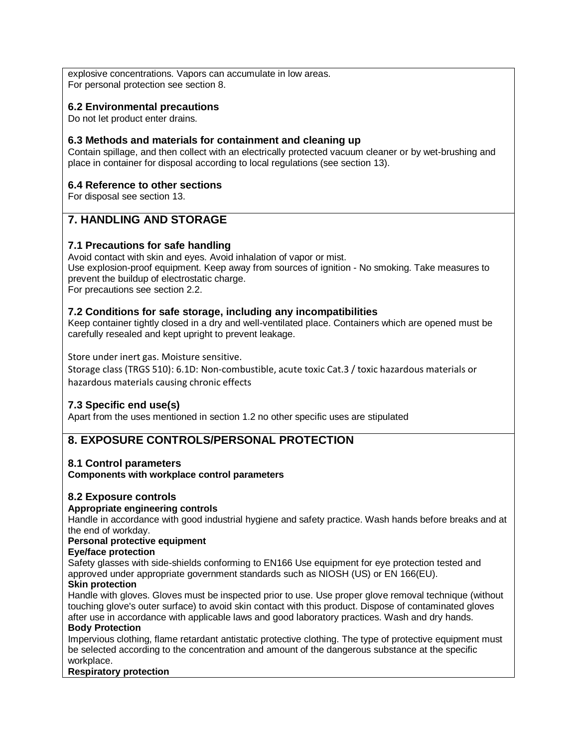explosive concentrations. Vapors can accumulate in low areas. For personal protection see section 8.

## **6.2 Environmental precautions**

Do not let product enter drains.

## **6.3 Methods and materials for containment and cleaning up**

Contain spillage, and then collect with an electrically protected vacuum cleaner or by wet-brushing and place in container for disposal according to local regulations (see section 13).

## **6.4 Reference to other sections**

For disposal see section 13.

# **7. HANDLING AND STORAGE**

## **7.1 Precautions for safe handling**

Avoid contact with skin and eyes. Avoid inhalation of vapor or mist. Use explosion-proof equipment. Keep away from sources of ignition - No smoking. Take measures to prevent the buildup of electrostatic charge. For precautions see section 2.2.

## **7.2 Conditions for safe storage, including any incompatibilities**

Keep container tightly closed in a dry and well-ventilated place. Containers which are opened must be carefully resealed and kept upright to prevent leakage.

### Store under inert gas. Moisture sensitive.

Storage class (TRGS 510): 6.1D: Non-combustible, acute toxic Cat.3 / toxic hazardous materials or hazardous materials causing chronic effects

## **7.3 Specific end use(s)**

Apart from the uses mentioned in section 1.2 no other specific uses are stipulated

# **8. EXPOSURE CONTROLS/PERSONAL PROTECTION**

## **8.1 Control parameters**

**Components with workplace control parameters**

## **8.2 Exposure controls**

#### **Appropriate engineering controls**

Handle in accordance with good industrial hygiene and safety practice. Wash hands before breaks and at the end of workday.

#### **Personal protective equipment**

**Eye/face protection**

Safety glasses with side-shields conforming to EN166 Use equipment for eye protection tested and approved under appropriate government standards such as NIOSH (US) or EN 166(EU).

#### **Skin protection**

Handle with gloves. Gloves must be inspected prior to use. Use proper glove removal technique (without touching glove's outer surface) to avoid skin contact with this product. Dispose of contaminated gloves after use in accordance with applicable laws and good laboratory practices. Wash and dry hands.

#### **Body Protection**

Impervious clothing, flame retardant antistatic protective clothing. The type of protective equipment must be selected according to the concentration and amount of the dangerous substance at the specific workplace.

#### **Respiratory protection**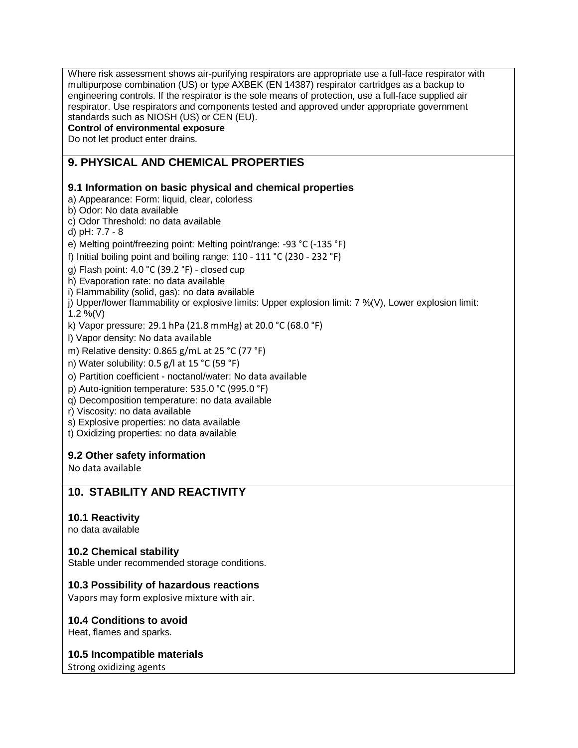Where risk assessment shows air-purifying respirators are appropriate use a full-face respirator with multipurpose combination (US) or type AXBEK (EN 14387) respirator cartridges as a backup to engineering controls. If the respirator is the sole means of protection, use a full-face supplied air respirator. Use respirators and components tested and approved under appropriate government standards such as NIOSH (US) or CEN (EU).

### **Control of environmental exposure**

Do not let product enter drains.

# **9. PHYSICAL AND CHEMICAL PROPERTIES**

### **9.1 Information on basic physical and chemical properties**

- a) Appearance: Form: liquid, clear, colorless
- b) Odor: No data available
- c) Odor Threshold: no data available
- d) pH: 7.7 8
- e) Melting point/freezing point: Melting point/range: -93 °C (-135 °F)
- f) Initial boiling point and boiling range:  $110 111$  °C (230 232 °F)
- g) Flash point: 4.0 °C (39.2 °F) closed cup
- h) Evaporation rate: no data available
- i) Flammability (solid, gas): no data available
- j) Upper/lower flammability or explosive limits: Upper explosion limit: 7 %(V), Lower explosion limit: 1.2 %(V)
- k) Vapor pressure: 29.1 hPa (21.8 mmHg) at 20.0 °C (68.0 °F)
- l) Vapor density: No data available
- m) Relative density: 0.865 g/mL at 25 °C (77 °F)
- n) Water solubility: 0.5 g/l at 15 °C (59 °F)
- o) Partition coefficient noctanol/water: No data available
- p) Auto-ignition temperature: 535.0 °C (995.0 °F)
- q) Decomposition temperature: no data available
- r) Viscosity: no data available
- s) Explosive properties: no data available
- t) Oxidizing properties: no data available

#### **9.2 Other safety information**

No data available

## **10. STABILITY AND REACTIVITY**

#### **10.1 Reactivity**

no data available

#### **10.2 Chemical stability**

Stable under recommended storage conditions.

#### **10.3 Possibility of hazardous reactions**

Vapors may form explosive mixture with air.

#### **10.4 Conditions to avoid**

Heat, flames and sparks.

#### **10.5 Incompatible materials**

Strong oxidizing agents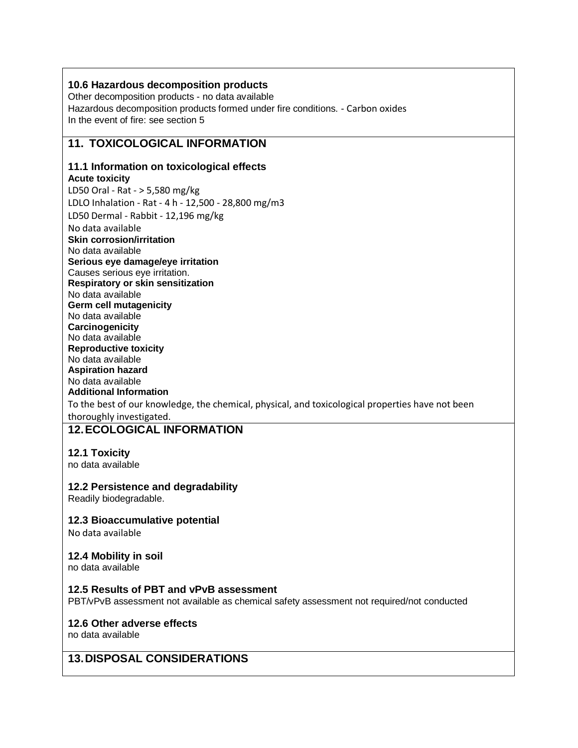## **10.6 Hazardous decomposition products**

Other decomposition products - no data available Hazardous decomposition products formed under fire conditions. - Carbon oxides In the event of fire: see section 5

## **11. TOXICOLOGICAL INFORMATION**

#### **11.1 Information on toxicological effects Acute toxicity**

LD50 Oral - Rat - > 5,580 mg/kg LDLO Inhalation - Rat - 4 h - 12,500 - 28,800 mg/m3 LD50 Dermal - Rabbit - 12,196 mg/kg No data available **Skin corrosion/irritation** No data available **Serious eye damage/eye irritation** Causes serious eye irritation. **Respiratory or skin sensitization** No data available **Germ cell mutagenicity** No data available **Carcinogenicity** No data available **Reproductive toxicity** No data available **Aspiration hazard** No data available **Additional Information** To the best of our knowledge, the chemical, physical, and toxicological properties have not been thoroughly investigated.

## **12.ECOLOGICAL INFORMATION**

#### **12.1 Toxicity**

no data available

#### **12.2 Persistence and degradability**

Readily biodegradable.

#### **12.3 Bioaccumulative potential**

No data available

#### **12.4 Mobility in soil**

no data available

#### **12.5 Results of PBT and vPvB assessment**

PBT/vPvB assessment not available as chemical safety assessment not required/not conducted

## **12.6 Other adverse effects**

no data available

# **13.DISPOSAL CONSIDERATIONS**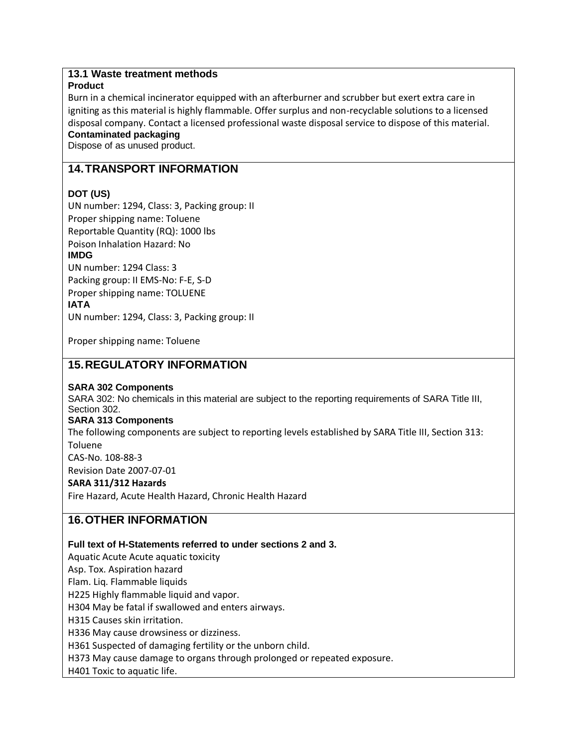## **13.1 Waste treatment methods**

### **Product**

Burn in a chemical incinerator equipped with an afterburner and scrubber but exert extra care in igniting as this material is highly flammable. Offer surplus and non-recyclable solutions to a licensed disposal company. Contact a licensed professional waste disposal service to dispose of this material. **Contaminated packaging**

Dispose of as unused product.

# **14.TRANSPORT INFORMATION**

## **DOT (US)**

UN number: 1294, Class: 3, Packing group: II Proper shipping name: Toluene Reportable Quantity (RQ): 1000 lbs Poison Inhalation Hazard: No **IMDG** UN number: 1294 Class: 3 Packing group: II EMS-No: F-E, S-D

Proper shipping name: TOLUENE **IATA** UN number: 1294, Class: 3, Packing group: II

Proper shipping name: Toluene

## **15.REGULATORY INFORMATION**

#### **SARA 302 Components**

SARA 302: No chemicals in this material are subject to the reporting requirements of SARA Title III, Section 302.

#### **SARA 313 Components**

The following components are subject to reporting levels established by SARA Title III, Section 313: Toluene

CAS-No. 108-88-3

Revision Date 2007-07-01

## **SARA 311/312 Hazards**

Fire Hazard, Acute Health Hazard, Chronic Health Hazard

# **16.OTHER INFORMATION**

#### **Full text of H-Statements referred to under sections 2 and 3.**

Aquatic Acute Acute aquatic toxicity

Asp. Tox. Aspiration hazard

Flam. Liq. Flammable liquids

H225 Highly flammable liquid and vapor.

H304 May be fatal if swallowed and enters airways.

H315 Causes skin irritation.

H336 May cause drowsiness or dizziness.

H361 Suspected of damaging fertility or the unborn child.

H373 May cause damage to organs through prolonged or repeated exposure.

H401 Toxic to aquatic life.